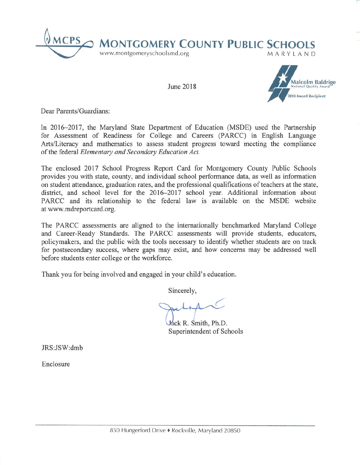

June 2018



Dear Parents/Guardians:

In 2016–2017, the Maryland State Department of Education (MSDE) used the Partnership for Assessment of Readiness for College and Careers (PARCC) in English Language Arts/Literacy and mathematics to assess student progress toward meeting the compliance of the federal Elementary and Secondary Education Act.

The enclosed 2017 School Progress Report Card for Montgomery County Public Schools provides you with state, county, and individual school performance data, as well as information on student attendance, graduation rates, and the professional qualifications of teachers at the state, district, and school level for the 2016-2017 school year. Additional information about PARCC and its relationship to the federal law is available on the MSDE website at www.mdreportcard.org.

The PARCC assessments are aligned to the internationally benchmarked Maryland College and Career-Ready Standards. The PARCC assessments will provide students, educators, policymakers, and the public with the tools necessary to identify whether students are on track for postsecondary success, where gaps may exist, and how concerns may be addressed well before students enter college or the workforce.

Thank you for being involved and engaged in your child's education.

Sincerely,

Jack R. Smith, Ph.D. Superintendent of Schools

JRS:JSW:dmb

Enclosure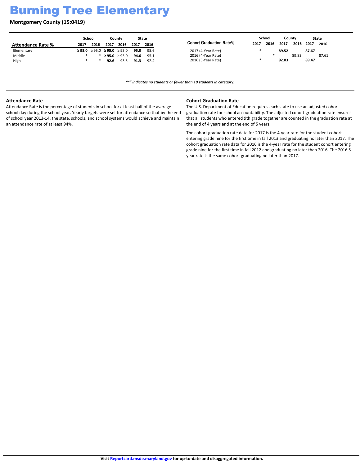# Burning Tree Elementary

**Montgomery County (15:0419)**

|                          |      | School |                                  | Countv |      | State |                                |      | School |       | Countv |       | State |
|--------------------------|------|--------|----------------------------------|--------|------|-------|--------------------------------|------|--------|-------|--------|-------|-------|
| <b>Attendance Rate %</b> | 2017 | 2016   | 2017                             | 2016   | 2017 | 2016  | <b>Cohort Graduation Rate%</b> | 2017 | 2016   | 2017  | 2016   | 2017  | 2016  |
| Elementary               |      |        | $\geq$ 95.0 ≥ 95.0 ≥ 95.0 ≥ 95.0 |        | 95.0 | 95.6  | 2017 (4-Year Rate)             |      |        | 89.52 |        | 87.67 |       |
| Middle                   |      |        | ≥95.0 ≥95.0                      |        | 94.6 | 95.1  | 2016 (4-Year Rate)             |      |        |       | 89.83  |       | 87.61 |
| High                     |      |        | 92.6                             | 93.5   | 91.3 | 92.4  | 2016 (5-Year Rate)             |      |        | 92.03 |        | 89.47 |       |

*͞Ύ͟indicates no students or fewer than 10 students in category.*

### **Attendance Rate**

Attendance Rate is the percentage of students in school for at least half of the average school day during the school year. Yearly targets were set for attendance so that by the end of school year 2013-14, the state, schools, and school systems would achieve and maintain an attendance rate of at least 94%.

### **Cohort Graduation Rate**

The U.S. Department of Education requires each state to use an adjusted cohort graduation rate for school accountability. The adjusted cohort graduation rate ensures that all students who entered 9th grade together are counted in the graduation rate at the end of 4 years and at the end of 5 years.

The cohort graduation rate data for 2017 is the 4-year rate for the student cohort entering grade nine for the first time in fall 2013 and graduating no later than 2017. The cohort graduation rate data for 2016 is the 4-year rate for the student cohort entering grade nine for the first time in fall 2012 and graduating no later than 2016. The 2016 5 year rate is the same cohort graduating no later than 2017.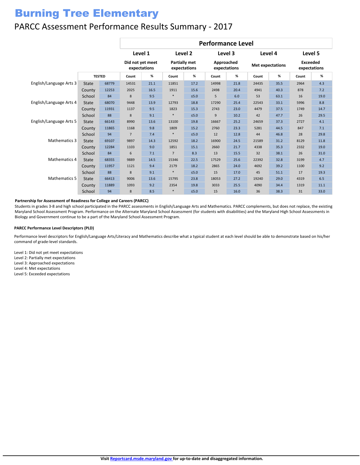# Burning Tree Elementary

### PARCC Assessment Performance Results Summary - 2017

|                         |              |               | <b>Performance Level</b> |                                  |                                      |            |                            |      |                         |      |                                 |      |
|-------------------------|--------------|---------------|--------------------------|----------------------------------|--------------------------------------|------------|----------------------------|------|-------------------------|------|---------------------------------|------|
|                         |              |               | Level 1                  |                                  | Level 2                              |            | Level 3                    |      | Level 4                 |      | Level 5                         |      |
|                         |              | <b>TESTED</b> |                          | Did not yet meet<br>expectations | <b>Partially met</b><br>expectations |            | Approached<br>expectations |      | <b>Met expectations</b> |      | <b>Exceeded</b><br>expectations |      |
|                         |              |               | Count                    | %                                | Count                                | %          | Count                      | %    | Count                   | %    | Count                           | %    |
| English/Language Arts 3 | <b>State</b> | 68779         | 14531                    | 21.1                             | 11851                                | 17.2       | 14998                      | 21.8 | 24435                   | 35.5 | 2964                            | 4.3  |
|                         | County       | 12253         | 2025                     | 16.5                             | 1911                                 | 15.6       | 2498                       | 20.4 | 4941                    | 40.3 | 878                             | 7.2  |
|                         | School       | 84            | 8                        | 9.5                              |                                      | $≤5.0$     | 5                          | 6.0  | 53                      | 63.1 | 16                              | 19.0 |
| English/Language Arts 4 | <b>State</b> | 68070         | 9448                     | 13.9                             | 12793                                | 18.8       | 17290                      | 25.4 | 22543                   | 33.1 | 5996                            | 8.8  |
|                         | County       | 11931         | 1137                     | 9.5                              | 1823                                 | 15.3       | 2743                       | 23.0 | 4479                    | 37.5 | 1749                            | 14.7 |
|                         | School       | 88            | 8                        | 9.1                              | $\ast$                               | $≤5.0$     | 9                          | 10.2 | 42                      | 47.7 | 26                              | 29.5 |
| English/Language Arts 5 | <b>State</b> | 66143         | 8990                     | 13.6                             | 13100                                | 19.8       | 16667                      | 25.2 | 24659                   | 37.3 | 2727                            | 4.1  |
|                         | County       | 11865         | 1168                     | 9.8                              | 1809                                 | 15.2       | 2760                       | 23.3 | 5281                    | 44.5 | 847                             | 7.1  |
|                         | School       | 94            | $7\overline{ }$          | 7.4                              |                                      | $≤5.0$     | 12                         | 12.8 | 44                      | 46.8 | 28                              | 29.8 |
| Mathematics 3           | <b>State</b> | 69107         | 9897                     | 14.3                             | 12592                                | 18.2       | 16900                      | 24.5 | 21589                   | 31.2 | 8129                            | 11.8 |
|                         | County       | 12284         | 1103                     | 9.0                              | 1851                                 | 15.1       | 2660                       | 21.7 | 4338                    | 35.3 | 2332                            | 19.0 |
|                         | School       | 84            | 6                        | 7.1                              | $\overline{7}$                       | 8.3        | 13                         | 15.5 | 32                      | 38.1 | 26                              | 31.0 |
| <b>Mathematics 4</b>    | <b>State</b> | 68355         | 9889                     | 14.5                             | 15346                                | 22.5       | 17529                      | 25.6 | 22392                   | 32.8 | 3199                            | 4.7  |
|                         | County       | 11957         | 1121                     | 9.4                              | 2179                                 | 18.2       | 2865                       | 24.0 | 4692                    | 39.2 | 1100                            | 9.2  |
|                         | School       | 88            | 8                        | 9.1                              | $\ast$                               | $≤5.0$     | 15                         | 17.0 | 45                      | 51.1 | 17                              | 19.3 |
| <b>Mathematics 5</b>    | State        | 66413         | 9006                     | 13.6                             | 15795                                | 23.8       | 18053                      | 27.2 | 19240                   | 29.0 | 4319                            | 6.5  |
|                         | County       | 11889         | 1093                     | 9.2                              | 2354                                 | 19.8       | 3033                       | 25.5 | 4090                    | 34.4 | 1319                            | 11.1 |
|                         | School       | 94            | 8                        | 8.5                              | $\ast$                               | $\leq 5.0$ | 15                         | 16.0 | 36                      | 38.3 | 31                              | 33.0 |

#### **Partnership for Assessment of Readiness for College and Careers (PARCC)**

Students in grades 3-8 and high school participated in the PARCC assessments in English/Language Arts and Mathematics. PARCC complements, but does not replace, the existing Maryland School Assessment Program. Performance on the Alternate Maryland School Assessment (for students with disabilities) and the Maryland High School Assessments in Biology and Government continue to be a part of the Maryland School Assessment Program.

#### **PARCC Performance Level Descriptors (PLD)**

Performance level descriptors for English/Language Arts/Literacy and Mathematics describe what a typical student at each level should be able to demonstrate based on his/her command of grade-level standards.

Level 1: Did not yet meet expectations Level 2: Partially met expectations Level 3: Approached expectations Level 4: Met expectations Level 5: Exceeded expectations